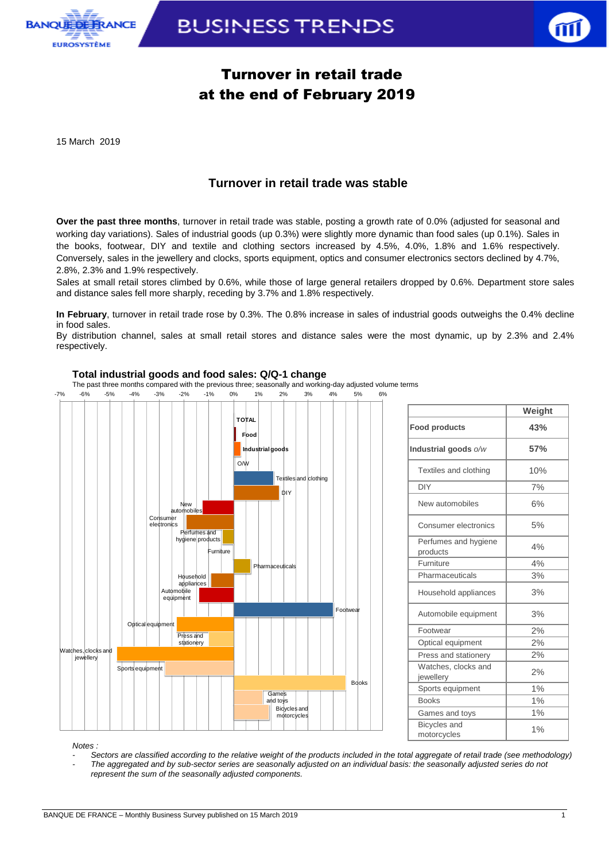

**BUSINESS TRENDS** 



## Turnover in retail trade at the end of February 2019

15 March 2019

### **Turnover in retail trade was stable**

**Over the past three months**, turnover in retail trade was stable, posting a growth rate of 0.0% (adjusted for seasonal and working day variations). Sales of industrial goods (up 0.3%) were slightly more dynamic than food sales (up 0.1%). Sales in the books, footwear, DIY and textile and clothing sectors increased by 4.5%, 4.0%, 1.8% and 1.6% respectively. Conversely, sales in the jewellery and clocks, sports equipment, optics and consumer electronics sectors declined by 4.7%, 2.8%, 2.3% and 1.9% respectively.

Sales at small retail stores climbed by 0.6%, while those of large general retailers dropped by 0.6%. Department store sales and distance sales fell more sharply, receding by 3.7% and 1.8% respectively.

**In February**, turnover in retail trade rose by 0.3%. The 0.8% increase in sales of industrial goods outweighs the 0.4% decline in food sales.

By distribution channel, sales at small retail stores and distance sales were the most dynamic, up by 2.3% and 2.4% respectively.

#### **Total industrial goods and food sales: Q/Q-1 change**

The past three months compared with the previous three; seasonally and working-day adjusted volume terms

-7% -6% -5% -4% -3% -2% -1% 0% 1% 2% 3% 4% 5% 6%



|                                  | Weight |
|----------------------------------|--------|
| <b>Food products</b>             | 43%    |
| Industrial goods o/w             | 57%    |
| Textiles and clothing            | 10%    |
| <b>DIY</b>                       | 7%     |
| New automobiles                  | 6%     |
| Consumer electronics             | 5%     |
| Perfumes and hygiene<br>products | 4%     |
| Furniture                        | 4%     |
| Pharmaceuticals                  | 3%     |
| Household appliances             | 3%     |
| Automobile equipment             | 3%     |
| Footwear                         | 2%     |
| Optical equipment                | 2%     |
| Press and stationery             | 2%     |
| Watches, clocks and<br>jewellery | 2%     |
| Sports equipment                 | 1%     |
| <b>Books</b>                     | 1%     |
| Games and toys                   | 1%     |
| Bicycles and<br>motorcycles      | 1%     |

*Notes :* 

*- Sectors are classified according to the relative weight of the products included in the total aggregate of retail trade (see methodology) - The aggregated and by sub-sector series are seasonally adjusted on an individual basis: the seasonally adjusted series do not represent the sum of the seasonally adjusted components.*